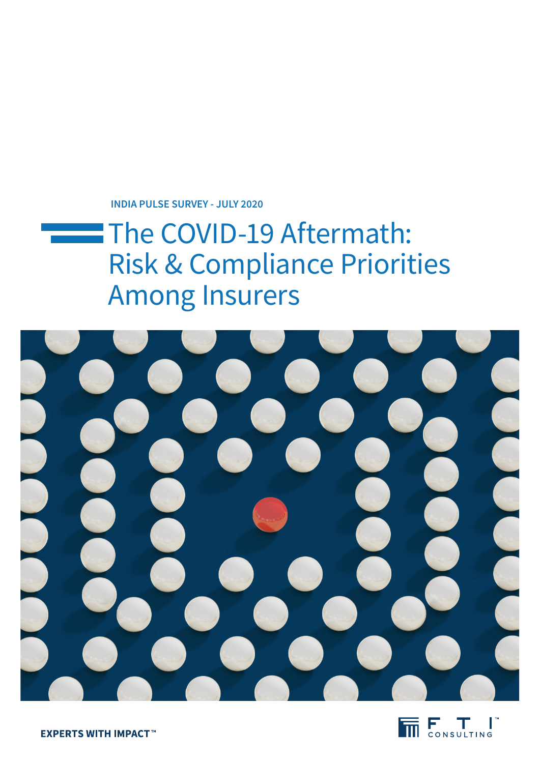**INDIA PULSE SURVEY - JULY 2020**

# The COVID-19 Aftermath: Risk & Compliance Priorities Among Insurers





**EXPERTS WITH IMPACT™**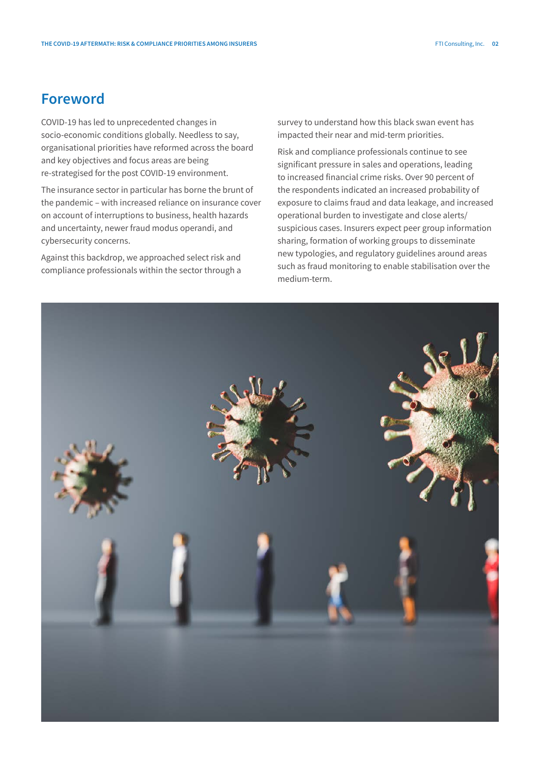### **Foreword**

COVID-19 has led to unprecedented changes in socio-economic conditions globally. Needless to say, organisational priorities have reformed across the board and key objectives and focus areas are being re-strategised for the post COVID-19 environment.

The insurance sector in particular has borne the brunt of the pandemic – with increased reliance on insurance cover on account of interruptions to business, health hazards and uncertainty, newer fraud modus operandi, and cybersecurity concerns.

Against this backdrop, we approached select risk and compliance professionals within the sector through a survey to understand how this black swan event has impacted their near and mid-term priorities.

Risk and compliance professionals continue to see significant pressure in sales and operations, leading to increased financial crime risks. Over 90 percent of the respondents indicated an increased probability of exposure to claims fraud and data leakage, and increased operational burden to investigate and close alerts/ suspicious cases. Insurers expect peer group information sharing, formation of working groups to disseminate new typologies, and regulatory guidelines around areas such as fraud monitoring to enable stabilisation over the medium-term.

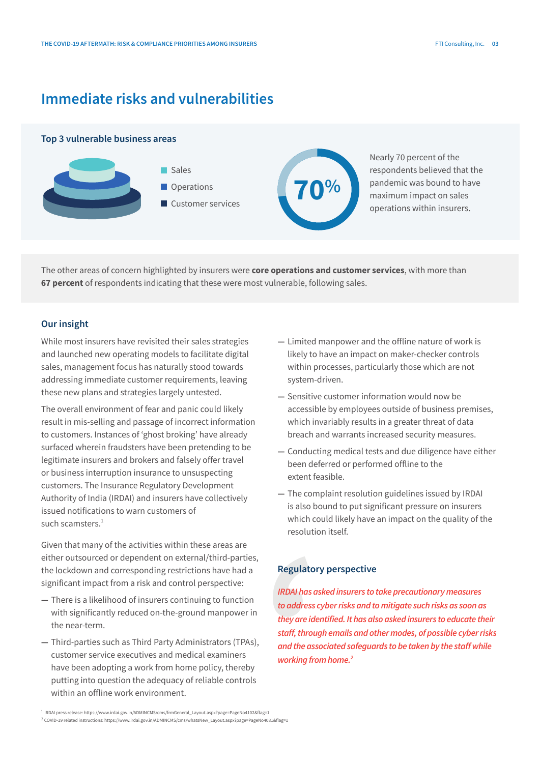## **Immediate risks and vulnerabilities**

#### **Top 3 vulnerable business areas**



The other areas of concern highlighted by insurers were **core operations and customer services**, with more than **67 percent** of respondents indicating that these were most vulnerable, following sales.

#### **Our insight**

While most insurers have revisited their sales strategies and launched new operating models to facilitate digital sales, management focus has naturally stood towards addressing immediate customer requirements, leaving these new plans and strategies largely untested.

The overall environment of fear and panic could likely result in mis-selling and passage of incorrect information to customers. Instances of 'ghost broking' have already surfaced wherein fraudsters have been pretending to be legitimate insurers and brokers and falsely offer travel or business interruption insurance to unsuspecting customers. The Insurance Regulatory Development Authority of India (IRDAI) and insurers have collectively issued notifications to warn customers of such scamsters $<sup>1</sup>$ </sup>

Given that many of the activities within these areas are either outsourced or dependent on external/third-parties, the lockdown and corresponding restrictions have had a significant impact from a risk and control perspective:

- **—** There is a likelihood of insurers continuing to function with significantly reduced on-the-ground manpower in the near-term.
- **—** Third-parties such as Third Party Administrators (TPAs), customer service executives and medical examiners have been adopting a work from home policy, thereby putting into question the adequacy of reliable controls within an offline work environment.
- **—** Limited manpower and the offline nature of work is likely to have an impact on maker-checker controls within processes, particularly those which are not system-driven.
- **—** Sensitive customer information would now be accessible by employees outside of business premises, which invariably results in a greater threat of data breach and warrants increased security measures.
- **—** Conducting medical tests and due diligence have either been deferred or performed offline to the extent feasible.
- **—** The complaint resolution guidelines issued by IRDAI is also bound to put significant pressure on insurers which could likely have an impact on the quality of the resolution itself.

#### **Regulatory perspective**

*IRDAI has asked insurers to take precautionary measures to address cyber risks and to mitigate such risks as soon as they are identified. It has also asked insurers to educate their staff, through emails and other modes, of possible cyber risks and the associated safeguards to be taken by the staff while working from home.2*

<sup>1</sup> IRDAI press release: https://www.irdai.gov.in/ADMINCMS/cms/frmGeneral\_Layout.aspx?page=PageNo4102&flag=1

<sup>2</sup> COVID-19 related instructions: https://www.irdai.gov.in/ADMINCMS/cms/whatsNew\_Layout.aspx?page=PageNo4081&flag=1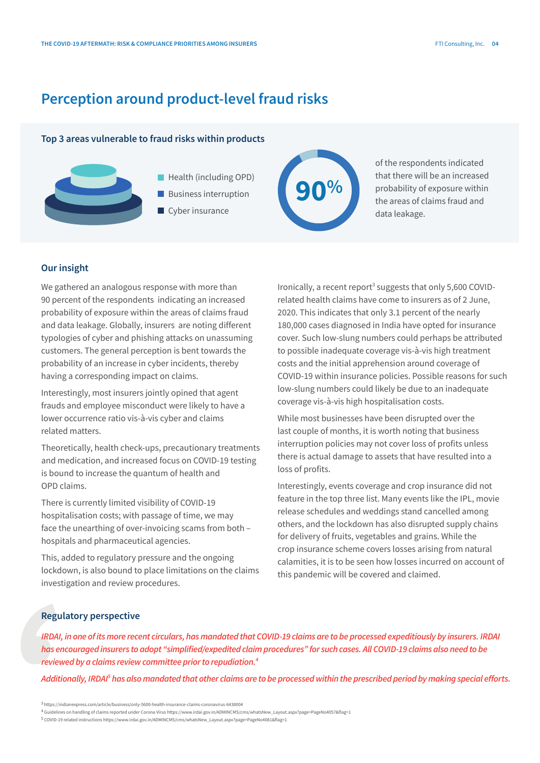### **Perception around product-level fraud risks**

#### **Top 3 areas vulnerable to fraud risks within products**



- Health (including OPD)
- **Business interruption**
- Cyber insurance



of the respondents indicated that there will be an increased probability of exposure within the areas of claims fraud and data leakage.

#### **Our insight**

We gathered an analogous response with more than 90 percent of the respondents indicating an increased probability of exposure within the areas of claims fraud and data leakage. Globally, insurers are noting different typologies of cyber and phishing attacks on unassuming customers. The general perception is bent towards the probability of an increase in cyber incidents, thereby having a corresponding impact on claims.

Interestingly, most insurers jointly opined that agent frauds and employee misconduct were likely to have a lower occurrence ratio vis-à-vis cyber and claims related matters.

Theoretically, health check-ups, precautionary treatments and medication, and increased focus on COVID-19 testing is bound to increase the quantum of health and OPD claims.

There is currently limited visibility of COVID-19 hospitalisation costs; with passage of time, we may face the unearthing of over-invoicing scams from both – hospitals and pharmaceutical agencies.

This, added to regulatory pressure and the ongoing lockdown, is also bound to place limitations on the claims investigation and review procedures.

Ironically, a recent report<sup>3</sup> suggests that only 5,600 COVIDrelated health claims have come to insurers as of 2 June, 2020. This indicates that only 3.1 percent of the nearly 180,000 cases diagnosed in India have opted for insurance cover. Such low-slung numbers could perhaps be attributed to possible inadequate coverage vis-à-vis high treatment costs and the initial apprehension around coverage of COVID-19 within insurance policies. Possible reasons for such low-slung numbers could likely be due to an inadequate coverage vis-à-vis high hospitalisation costs.

While most businesses have been disrupted over the last couple of months, it is worth noting that business interruption policies may not cover loss of profits unless there is actual damage to assets that have resulted into a loss of profits.

Interestingly, events coverage and crop insurance did not feature in the top three list. Many events like the IPL, movie release schedules and weddings stand cancelled among others, and the lockdown has also disrupted supply chains for delivery of fruits, vegetables and grains. While the crop insurance scheme covers losses arising from natural calamities, it is to be seen how losses incurred on account of this pandemic will be covered and claimed.

#### **Regulatory perspective**

*IRDAI, in one of its more recent circulars, has mandated that COVID-19 claims are to be processed expeditiously by insurers. IRDAI has encouraged insurers to adopt "simplified/expedited claim procedures" for such cases. All COVID-19 claims also need to be reviewed by a claims review committee prior to repudiation.4*

Additionally, IRDAI<sup>s</sup> has also mandated that other claims are to be processed within the prescribed period by making special efforts.

<sup>3</sup> https://indianexpress.com/article/business/only-5600-health-insurance-claims-coronavirus-6438004

<sup>4</sup> Guidelines on handling of claims reported under Corona Virus https://www.irdai.gov.in/ADMINCMS/cms/whatsNew\_Layout.aspx?page=PageNo4057&flag=1

<sup>5</sup> COVID-19 related instructions https://www.irdai.gov.in/ADMINCMS/cms/whatsNew\_Layout.aspx?page=PageNo4081&flag=1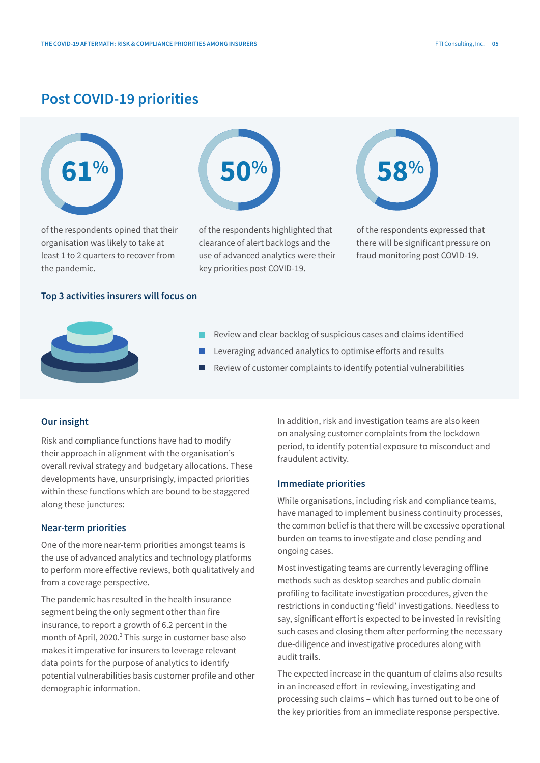### **Post COVID-19 priorities**



of the respondents opined that their organisation was likely to take at least 1 to 2 quarters to recover from the pandemic.



of the respondents highlighted that clearance of alert backlogs and the use of advanced analytics were their key priorities post COVID-19.



of the respondents expressed that there will be significant pressure on fraud monitoring post COVID-19.

#### **Top 3 activities insurers will focus on**



- Review and clear backlog of suspicious cases and claims identified
- Leveraging advanced analytics to optimise efforts and results
- Review of customer complaints to identify potential vulnerabilities

#### **Our insight**

Risk and compliance functions have had to modify their approach in alignment with the organisation's overall revival strategy and budgetary allocations. These developments have, unsurprisingly, impacted priorities within these functions which are bound to be staggered along these junctures:

#### **Near-term priorities**

One of the more near-term priorities amongst teams is the use of advanced analytics and technology platforms to perform more effective reviews, both qualitatively and from a coverage perspective.

The pandemic has resulted in the health insurance segment being the only segment other than fire insurance, to report a growth of 6.2 percent in the month of April, 2020.<sup>2</sup> This surge in customer base also makes it imperative for insurers to leverage relevant data points for the purpose of analytics to identify potential vulnerabilities basis customer profile and other demographic information.

In addition, risk and investigation teams are also keen on analysing customer complaints from the lockdown period, to identify potential exposure to misconduct and fraudulent activity.

#### **Immediate priorities**

While organisations, including risk and compliance teams, have managed to implement business continuity processes, the common belief is that there will be excessive operational burden on teams to investigate and close pending and ongoing cases.

Most investigating teams are currently leveraging offline methods such as desktop searches and public domain profiling to facilitate investigation procedures, given the restrictions in conducting 'field' investigations. Needless to say, significant effort is expected to be invested in revisiting such cases and closing them after performing the necessary due-diligence and investigative procedures along with audit trails.

The expected increase in the quantum of claims also results in an increased effort in reviewing, investigating and processing such claims – which has turned out to be one of the key priorities from an immediate response perspective.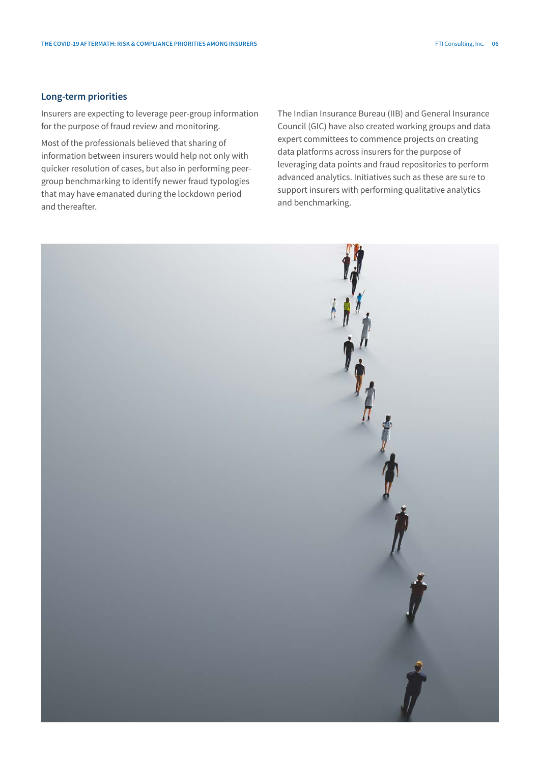#### **Long-term priorities**

Insurers are expecting to leverage peer-group information for the purpose of fraud review and monitoring.

Most of the professionals believed that sharing of information between insurers would help not only with quicker resolution of cases, but also in performing peergroup benchmarking to identify newer fraud typologies that may have emanated during the lockdown period and thereafter.

The Indian Insurance Bureau (IIB) and General Insurance Council (GIC) have also created working groups and data expert committees to commence projects on creating data platforms across insurers for the purpose of leveraging data points and fraud repositories to perform advanced analytics. Initiatives such as these are sure to support insurers with performing qualitative analytics and benchmarking.

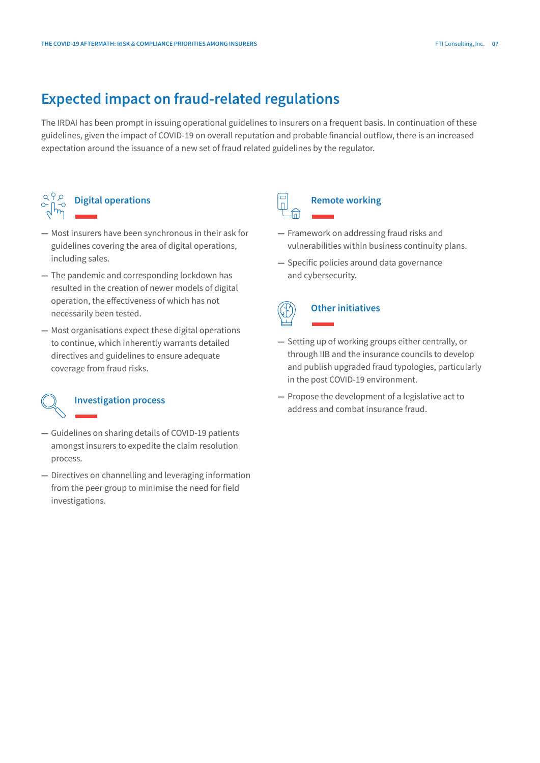## **Expected impact on fraud-related regulations**

The IRDAI has been prompt in issuing operational guidelines to insurers on a frequent basis. In continuation of these guidelines, given the impact of COVID-19 on overall reputation and probable financial outflow, there is an increased expectation around the issuance of a new set of fraud related guidelines by the regulator.



- **—** Most insurers have been synchronous in their ask for guidelines covering the area of digital operations, including sales.
- **—** The pandemic and corresponding lockdown has resulted in the creation of newer models of digital operation, the effectiveness of which has not necessarily been tested.
- **—** Most organisations expect these digital operations to continue, which inherently warrants detailed directives and guidelines to ensure adequate coverage from fraud risks.

## **Investigation process**

- **—** Guidelines on sharing details of COVID-19 patients amongst insurers to expedite the claim resolution process.
- **—** Directives on channelling and leveraging information from the peer group to minimise the need for field investigations.

## **Remote working**

- **—** Framework on addressing fraud risks and vulnerabilities within business continuity plans.
- **—** Specific policies around data governance and cybersecurity.

## **Other initiatives**

- **—** Setting up of working groups either centrally, or through IIB and the insurance councils to develop and publish upgraded fraud typologies, particularly in the post COVID-19 environment.
- **—** Propose the development of a legislative act to address and combat insurance fraud.